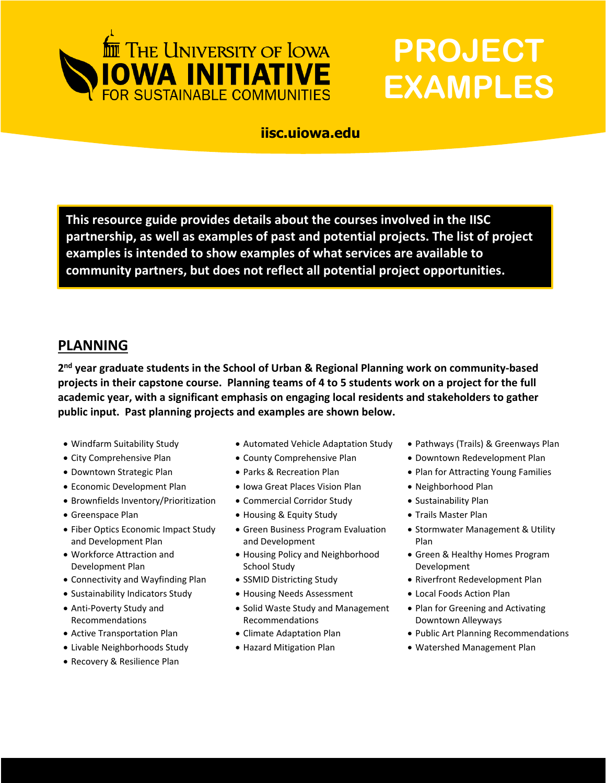

# **PROJECT EXAMPLES**

#### **iisc.uiowa.edu**

**This resource guide provides details about the courses involved in the IISC partnership, as well as examples of past and potential projects. The list of project examples is intended to show examples of what services are available to community partners, but does not reflect all potential project opportunities.** 

## **PLANNING**

**2 nd year graduate students in the School of Urban & Regional Planning work on community-based projects in their capstone course. Planning teams of 4 to 5 students work on a project for the full academic year, with a significant emphasis on engaging local residents and stakeholders to gather public input. Past planning projects and examples are shown below.**

- 
- 
- 
- Economic Development Plan Iowa Great Places Vision Plan Neighborhood Plan
- Brownfields Inventory/Prioritization Commercial Corridor Study Sustainability Plan
- 
- Fiber Optics Economic Impact Study and Development Plan
- Workforce Attraction and Development Plan
- Connectivity and Wayfinding Plan SSMID Districting Study Riverfront Redevelopment Plan
- Sustainability Indicators Study Housing Needs Assessment Local Foods Action Plan
- Anti-Poverty Study and Recommendations
- 
- 
- Recovery & Resilience Plan
- Windfarm Suitability Study Automated Vehicle Adaptation Study Pathways (Trails) & Greenways Plan
	-
	-
	-
- Greenspace Plan Constanting & Equity Study Trails Master Plan
	- Green Business Program Evaluation and Development
	- Housing Policy and Neighborhood School Study
	-
	-
	- Solid Waste Study and Management Recommendations
	-
	-
- 
- City Comprehensive Plan County Comprehensive Plan Downtown Redevelopment Plan
- Downtown Strategic Plan Parks & Recreation Plan Plan for Attracting Young Families
	-
	-
	-
	- Stormwater Management & Utility Plan
	- Green & Healthy Homes Program Development
	-
	-
	- Plan for Greening and Activating Downtown Alleyways
- Active Transportation Plan Climate Adaptation Plan Public Art Planning Recommendations
- Livable Neighborhoods Study Hazard Mitigation Plan Watershed Management Plan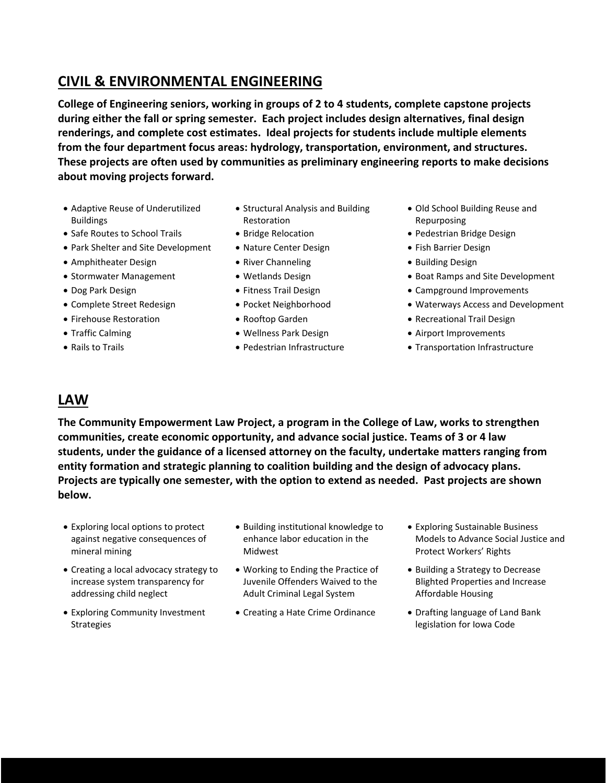## **CIVIL & ENVIRONMENTAL ENGINEERING**

**College of Engineering seniors, working in groups of 2 to 4 students, complete capstone projects during either the fall or spring semester. Each project includes design alternatives, final design renderings, and complete cost estimates. Ideal projects for students include multiple elements from the four department focus areas: hydrology, transportation, environment, and structures. These projects are often used by communities as preliminary engineering reports to make decisions about moving projects forward.** 

- Adaptive Reuse of Underutilized Buildings
- Safe Routes to School Trails • Bridge Relocation • Pedestrian Bridge Design
- Park Shelter and Site Development Nature Center Design • Fish Barrier Design
- Amphitheater Design River Channeling Building Design
- 
- 
- 
- 
- 
- 
- Structural Analysis and Building Restoration
- 
- 
- 
- 
- 
- 
- 
- 
- 
- Old School Building Reuse and Repurposing
- 
- 
- 
- Stormwater Management Vetlands Design 1999 Boat Ramps and Site Development
- Dog Park Design Fitness Trail Design Fitness Trail Design Campground Improvements
- Complete Street Redesign Pocket Neighborhood Waterways Access and Development
- Firehouse Restoration  **Rooftop Garden Properties Recreational Trail Design**
- Traffic Calming Wellness Park Design Airport Improvements
- Rails to Trails **Pedestrian Infrastructure** Transportation Infrastructure

#### **LAW**

**The Community Empowerment Law Project, a program in the College of Law, works to strengthen communities, create economic opportunity, and advance social justice. Teams of 3 or 4 law students, under the guidance of a licensed attorney on the faculty, undertake matters ranging from entity formation and strategic planning to coalition building and the design of advocacy plans. Projects are typically one semester, with the option to extend as needed. Past projects are shown below.**

- Exploring local options to protect against negative consequences of mineral mining
- Creating a local advocacy strategy to increase system transparency for addressing child neglect
- Exploring Community Investment Strategies
- Building institutional knowledge to enhance labor education in the Midwest
- Working to Ending the Practice of Juvenile Offenders Waived to the Adult Criminal Legal System
- Creating a Hate Crime Ordinance Drafting language of Land Bank
- Exploring Sustainable Business Models to Advance Social Justice and Protect Workers' Rights
- Building a Strategy to Decrease Blighted Properties and Increase Affordable Housing
- legislation for Iowa Code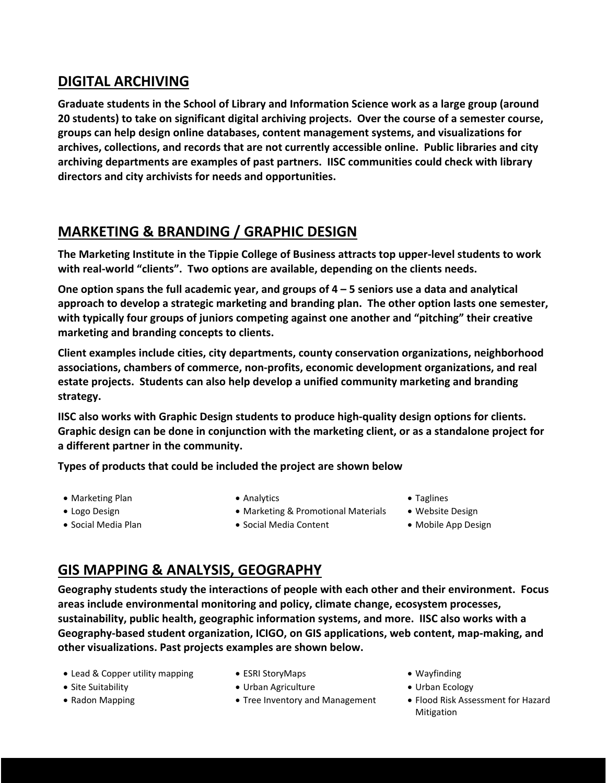## **DIGITAL ARCHIVING**

**Graduate students in the School of Library and Information Science work as a large group (around 20 students) to take on significant digital archiving projects. Over the course of a semester course, groups can help design online databases, content management systems, and visualizations for archives, collections, and records that are not currently accessible online. Public libraries and city archiving departments are examples of past partners. IISC communities could check with library directors and city archivists for needs and opportunities.** 

# **MARKETING & BRANDING / GRAPHIC DESIGN**

**The Marketing Institute in the Tippie College of Business attracts top upper-level students to work with real-world "clients". Two options are available, depending on the clients needs.** 

**One option spans the full academic year, and groups of 4 – 5 seniors use a data and analytical approach to develop a strategic marketing and branding plan. The other option lasts one semester, with typically four groups of juniors competing against one another and "pitching" their creative marketing and branding concepts to clients.** 

**Client examples include cities, city departments, county conservation organizations, neighborhood associations, chambers of commerce, non-profits, economic development organizations, and real estate projects. Students can also help develop a unified community marketing and branding strategy.** 

**IISC also works with Graphic Design students to produce high-quality design options for clients. Graphic design can be done in conjunction with the marketing client, or as a standalone project for a different partner in the community.**

**Types of products that could be included the project are shown below**

- Marketing Plan **Analytics** Analytics **Faglines** Taglines
	-

- 
- Logo Design Marketing & Promotional Materials Website Design
- 
- 
- 
- Social Media Plan Social Media Content Mobile App Design
- -

# **GIS MAPPING & ANALYSIS, GEOGRAPHY**

**Geography students study the interactions of people with each other and their environment. Focus areas include environmental monitoring and policy, climate change, ecosystem processes, sustainability, public health, geographic information systems, and more. IISC also works with a Geography-based student organization, ICIGO, on GIS applications, web content, map-making, and other visualizations. Past projects examples are shown below.** 

- Lead & Copper utility mapping ESRI StoryMaps Providence Wayfinding
- 
- 
- 
- Site Suitability Urban Agriculture Urban Agriculture Urban Ecology
	-
- 
- 
- Radon Mapping Tree Inventory and Management Flood Risk Assessment for Hazard Mitigation